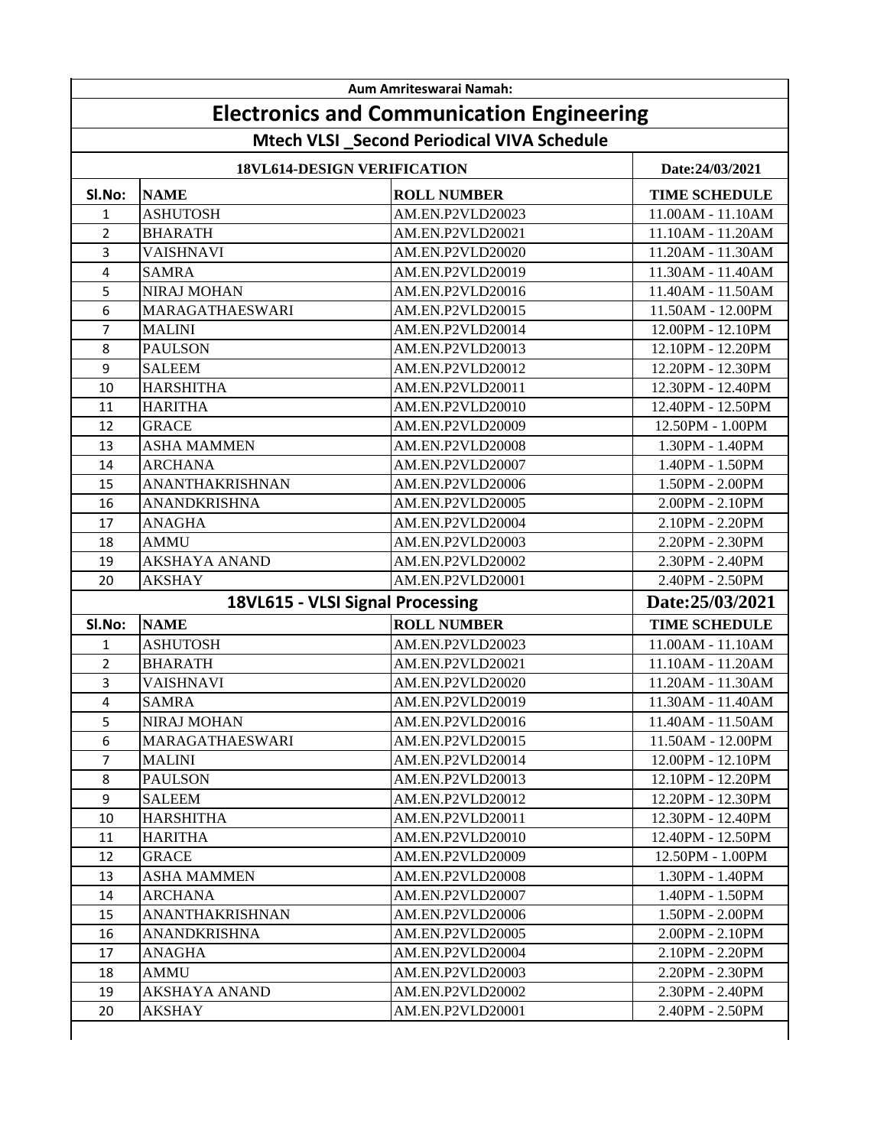| Aum Amriteswarai Namah: |                                       |                                                  |                      |  |  |  |
|-------------------------|---------------------------------------|--------------------------------------------------|----------------------|--|--|--|
|                         |                                       | <b>Electronics and Communication Engineering</b> |                      |  |  |  |
|                         |                                       | Mtech VLSI _Second Periodical VIVA Schedule      |                      |  |  |  |
|                         | 18VL614-DESIGN VERIFICATION           | Date:24/03/2021                                  |                      |  |  |  |
| SI.No:                  | <b>NAME</b>                           | <b>ROLL NUMBER</b>                               | <b>TIME SCHEDULE</b> |  |  |  |
| $\mathbf{1}$            | <b>ASHUTOSH</b>                       | AM.EN.P2VLD20023                                 | 11.00AM - 11.10AM    |  |  |  |
| $\overline{2}$          | <b>BHARATH</b>                        | AM.EN.P2VLD20021                                 | 11.10AM - 11.20AM    |  |  |  |
| 3                       | <b>VAISHNAVI</b>                      | AM.EN.P2VLD20020                                 | 11.20AM - 11.30AM    |  |  |  |
| 4                       | <b>SAMRA</b>                          | AM.EN.P2VLD20019                                 | 11.30AM - 11.40AM    |  |  |  |
| 5                       | <b>NIRAJ MOHAN</b>                    | AM.EN.P2VLD20016                                 | 11.40AM - 11.50AM    |  |  |  |
| 6                       | MARAGATHAESWARI                       | AM.EN.P2VLD20015                                 | 11.50AM - 12.00PM    |  |  |  |
| $\overline{7}$          | <b>MALINI</b>                         | AM.EN.P2VLD20014                                 | 12.00PM - 12.10PM    |  |  |  |
| 8                       | <b>PAULSON</b>                        | AM.EN.P2VLD20013                                 | 12.10PM - 12.20PM    |  |  |  |
| 9                       | <b>SALEEM</b>                         | AM.EN.P2VLD20012                                 | 12.20PM - 12.30PM    |  |  |  |
| 10                      | <b>HARSHITHA</b>                      | AM.EN.P2VLD20011                                 | 12.30PM - 12.40PM    |  |  |  |
| 11                      | <b>HARITHA</b>                        | AM.EN.P2VLD20010                                 | 12.40PM - 12.50PM    |  |  |  |
| 12                      | <b>GRACE</b>                          | AM.EN.P2VLD20009                                 | 12.50PM - 1.00PM     |  |  |  |
| 13                      | <b>ASHA MAMMEN</b>                    | AM.EN.P2VLD20008                                 | 1.30PM - 1.40PM      |  |  |  |
| 14                      | <b>ARCHANA</b>                        | AM.EN.P2VLD20007                                 | 1.40PM - 1.50PM      |  |  |  |
| 15                      | ANANTHAKRISHNAN                       | AM.EN.P2VLD20006                                 | 1.50PM - 2.00PM      |  |  |  |
| 16                      | <b>ANANDKRISHNA</b>                   | AM.EN.P2VLD20005                                 | 2.00PM - 2.10PM      |  |  |  |
| 17                      | <b>ANAGHA</b>                         | AM.EN.P2VLD20004                                 | 2.10PM - 2.20PM      |  |  |  |
| 18                      | <b>AMMU</b>                           | AM.EN.P2VLD20003                                 | 2.20PM - 2.30PM      |  |  |  |
| 19                      | <b>AKSHAYA ANAND</b>                  | AM.EN.P2VLD20002                                 | 2.30PM - 2.40PM      |  |  |  |
| 20                      | <b>AKSHAY</b>                         | AM.EN.P2VLD20001                                 | 2.40PM - 2.50PM      |  |  |  |
|                         |                                       | 18VL615 - VLSI Signal Processing                 | Date:25/03/2021      |  |  |  |
| SI.No:                  | <b>NAME</b>                           | <b>ROLL NUMBER</b>                               | <b>TIME SCHEDULE</b> |  |  |  |
| 1                       | <b>ASHUTOSH</b>                       | AM.EN.P2VLD20023                                 | 11.00AM - 11.10AM    |  |  |  |
| $\overline{2}$          | <b>BHARATH</b>                        | AM.EN.P2VLD20021                                 | 11.10AM - 11.20AM    |  |  |  |
| 3                       | VAISHNAVI                             | AM.EN.P2VLD20020                                 | 11.20AM - 11.30AM    |  |  |  |
| 4                       | <b>SAMRA</b>                          | AM.EN.P2VLD20019                                 | 11.30AM - 11.40AM    |  |  |  |
| 5                       | NIRAJ MOHAN                           | AM.EN.P2VLD20016                                 | 11.40AM - 11.50AM    |  |  |  |
| 6                       | <b>MARAGATHAESWARI</b>                | AM.EN.P2VLD20015                                 | 11.50AM - 12.00PM    |  |  |  |
| $\overline{7}$          | <b>MALINI</b>                         | AM.EN.P2VLD20014                                 | 12.00PM - 12.10PM    |  |  |  |
| 8                       | <b>PAULSON</b>                        | AM.EN.P2VLD20013                                 | 12.10PM - 12.20PM    |  |  |  |
| 9                       | <b>SALEEM</b>                         | AM.EN.P2VLD20012                                 | 12.20PM - 12.30PM    |  |  |  |
| 10                      | <b>HARSHITHA</b>                      | AM.EN.P2VLD20011                                 | 12.30PM - 12.40PM    |  |  |  |
| 11                      | <b>HARITHA</b>                        | AM.EN.P2VLD20010                                 | 12.40PM - 12.50PM    |  |  |  |
| 12                      | <b>GRACE</b>                          | AM.EN.P2VLD20009                                 | 12.50PM - 1.00PM     |  |  |  |
| 13                      | <b>ASHA MAMMEN</b>                    | AM.EN.P2VLD20008                                 | 1.30PM - 1.40PM      |  |  |  |
| 14                      | <b>ARCHANA</b>                        | AM.EN.P2VLD20007                                 | 1.40PM - 1.50PM      |  |  |  |
| 15                      | <b>ANANTHAKRISHNAN</b>                | AM.EN.P2VLD20006                                 | 1.50PM - 2.00PM      |  |  |  |
| 16                      | <b>ANANDKRISHNA</b>                   | AM.EN.P2VLD20005                                 | 2.00PM - 2.10PM      |  |  |  |
| 17                      | ANAGHA                                | AM.EN.P2VLD20004                                 | 2.10PM - 2.20PM      |  |  |  |
|                         |                                       |                                                  |                      |  |  |  |
| 18                      | AMMU                                  | AM.EN.P2VLD20003                                 | 2.20PM - 2.30PM      |  |  |  |
|                         |                                       |                                                  | 2.30PM - 2.40PM      |  |  |  |
| 19<br>20                | <b>AKSHAYA ANAND</b><br><b>AKSHAY</b> | AM.EN.P2VLD20002<br>AM.EN.P2VLD20001             | 2.40PM - 2.50PM      |  |  |  |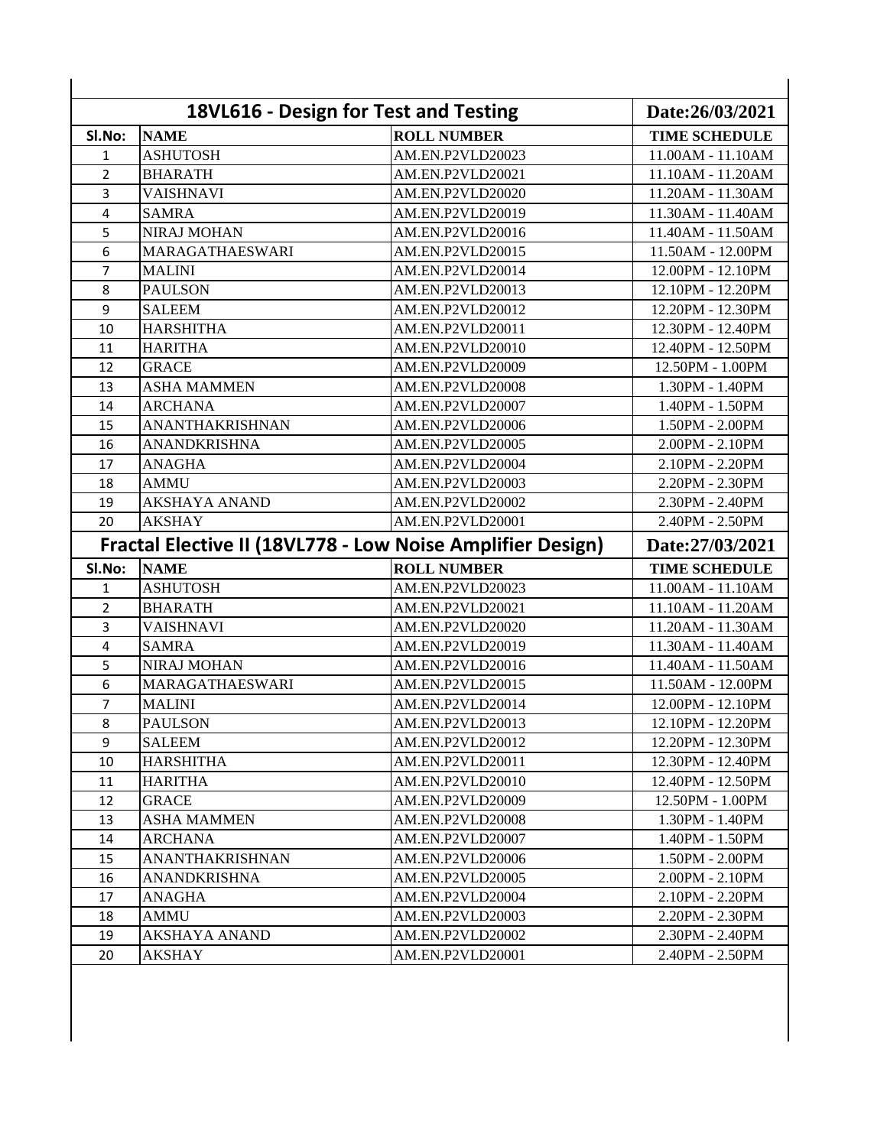| SI.No:         | <b>NAME</b>          | 18VL616 - Design for Test and Testing<br><b>ROLL NUMBER</b> | <b>TIME SCHEDULE</b>  |
|----------------|----------------------|-------------------------------------------------------------|-----------------------|
| 1              | <b>ASHUTOSH</b>      | AM.EN.P2VLD20023                                            | 11.00AM - 11.10AM     |
| $\overline{2}$ | <b>BHARATH</b>       | AM.EN.P2VLD20021                                            | 11.10AM - 11.20AM     |
| 3              | <b>VAISHNAVI</b>     | AM.EN.P2VLD20020                                            | 11.20AM - 11.30AM     |
| 4              | <b>SAMRA</b>         | AM.EN.P2VLD20019                                            | 11.30AM - 11.40AM     |
| 5              | <b>NIRAJ MOHAN</b>   | AM.EN.P2VLD20016                                            | 11.40AM - 11.50AM     |
| 6              | MARAGATHAESWARI      | AM.EN.P2VLD20015                                            | 11.50AM - 12.00PM     |
| $\overline{7}$ | <b>MALINI</b>        | AM.EN.P2VLD20014                                            | 12.00PM - 12.10PM     |
| 8              | <b>PAULSON</b>       | AM.EN.P2VLD20013                                            | 12.10PM - 12.20PM     |
| 9              | <b>SALEEM</b>        | AM.EN.P2VLD20012                                            | 12.20PM - 12.30PM     |
| 10             | <b>HARSHITHA</b>     | AM.EN.P2VLD20011                                            | 12.30PM - 12.40PM     |
| 11             | <b>HARITHA</b>       | AM.EN.P2VLD20010                                            | 12.40PM - 12.50PM     |
| 12             | <b>GRACE</b>         | AM.EN.P2VLD20009                                            | 12.50PM - 1.00PM      |
| 13             | <b>ASHA MAMMEN</b>   | AM.EN.P2VLD20008                                            | 1.30PM - 1.40PM       |
| 14             | <b>ARCHANA</b>       | AM.EN.P2VLD20007                                            | 1.40PM - 1.50PM       |
| 15             | ANANTHAKRISHNAN      | AM.EN.P2VLD20006                                            | 1.50PM - 2.00PM       |
| 16             | ANANDKRISHNA         | AM.EN.P2VLD20005                                            | 2.00PM - 2.10PM       |
| 17             | <b>ANAGHA</b>        | AM.EN.P2VLD20004                                            | $2.10$ PM - $2.20$ PM |
| 18             | <b>AMMU</b>          | AM.EN.P2VLD20003                                            | 2.20PM - 2.30PM       |
| 19             | <b>AKSHAYA ANAND</b> | AM.EN.P2VLD20002                                            | 2.30PM - 2.40PM       |
| 20             | <b>AKSHAY</b>        | AM.EN.P2VLD20001                                            | 2.40PM - 2.50PM       |
|                |                      | Fractal Elective II (18VL778 - Low Noise Amplifier Design)  | Date:27/03/2021       |
| SI.No:         | <b>NAME</b>          | <b>ROLL NUMBER</b>                                          | <b>TIME SCHEDULE</b>  |
| 1              | <b>ASHUTOSH</b>      | AM.EN.P2VLD20023                                            | 11.00AM - 11.10AM     |
| $\overline{2}$ | <b>BHARATH</b>       | AM.EN.P2VLD20021                                            | 11.10AM - 11.20AM     |
| 3              | <b>VAISHNAVI</b>     | AM.EN.P2VLD20020                                            | 11.20AM - 11.30AM     |
| 4              | <b>SAMRA</b>         | AM.EN.P2VLD20019                                            | 11.30AM - 11.40AM     |
| 5              | <b>NIRAJ MOHAN</b>   | AM.EN.P2VLD20016                                            | 11.40AM - 11.50AM     |
| 6              | MARAGATHAESWARI      | AM.EN.P2VLD20015                                            | 11.50AM - 12.00PM     |
| 7              | <b>MALINI</b>        | AM.EN.P2VLD20014                                            | 12.00PM - 12.10PM     |
| 8              | <b>PAULSON</b>       | AM.EN.P2VLD20013                                            | 12.10PM - 12.20PM     |
| 9              | <b>SALEEM</b>        | AM.EN.P2VLD20012                                            | 12.20PM - 12.30PM     |
| 10             | <b>HARSHITHA</b>     | AM.EN.P2VLD20011                                            | 12.30PM - 12.40PM     |
| 11             | <b>HARITHA</b>       | AM.EN.P2VLD20010                                            | 12.40PM - 12.50PM     |
| 12             | <b>GRACE</b>         | AM.EN.P2VLD20009                                            | 12.50PM - 1.00PM      |
| 13             | <b>ASHA MAMMEN</b>   | AM.EN.P2VLD20008                                            | $1.30$ PM - $1.40$ PM |
| 14             | <b>ARCHANA</b>       | AM.EN.P2VLD20007                                            | $1.40$ PM - $1.50$ PM |
| 15             | ANANTHAKRISHNAN      | AM.EN.P2VLD20006                                            | 1.50PM - 2.00PM       |
| 16             | <b>ANANDKRISHNA</b>  | AM.EN.P2VLD20005                                            | 2.00PM - 2.10PM       |
| 17             | ANAGHA               | AM.EN.P2VLD20004                                            | 2.10PM - 2.20PM       |
| 18             | <b>AMMU</b>          | AM.EN.P2VLD20003                                            | 2.20PM - 2.30PM       |
| 19             | <b>AKSHAYA ANAND</b> | AM.EN.P2VLD20002                                            | 2.30PM - 2.40PM       |
|                | <b>AKSHAY</b>        | AM.EN.P2VLD20001                                            | 2.40PM - 2.50PM       |
| 20             |                      |                                                             |                       |